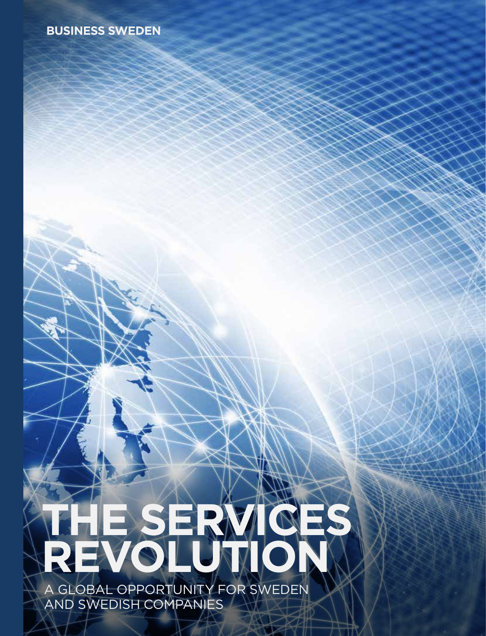# **THE SERVICES REVOLUTION**

A GLOBAL OPPORTUNITY FOR SWEDEN AND SWEDISH COMPANIES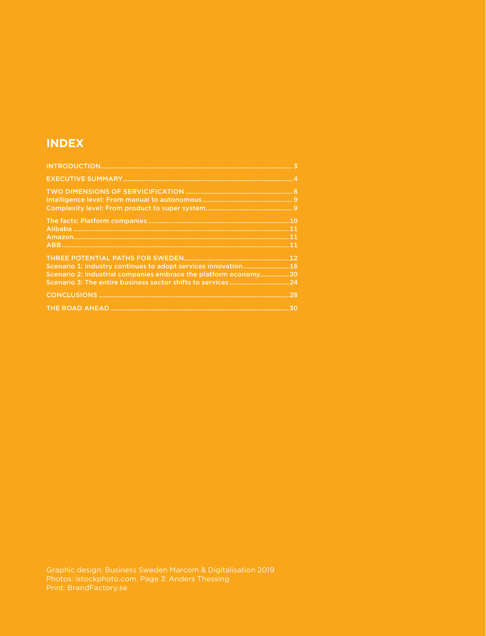### **INDEX**

| Scenario 1: Industry continues to adopt services innovation 16<br>Scenario 2: Industrial companies embrace the platform economy20 |  |
|-----------------------------------------------------------------------------------------------------------------------------------|--|
|                                                                                                                                   |  |

Graphic design: Business Sweden Marcom & Digitalisation 2019 Photos: istockphoto.com. Page 3: Anders Thessing Print: BrandFactory.se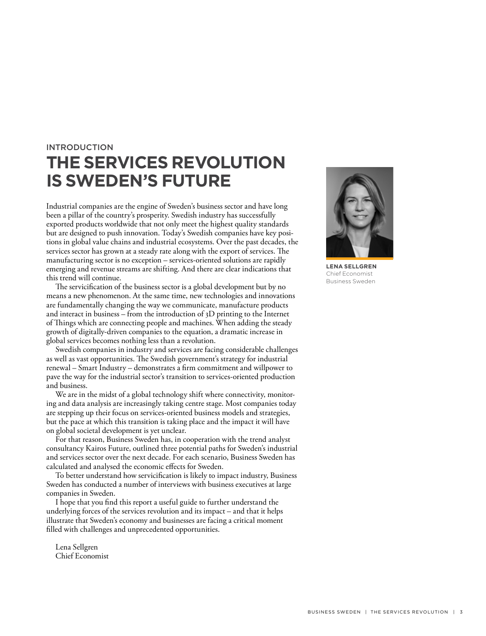### INTRODUCTION **THE SERVICES REVOLUTION IS SWEDEN'S FUTURE**

Industrial companies are the engine of Sweden's business sector and have long been a pillar of the country's prosperity. Swedish industry has successfully exported products worldwide that not only meet the highest quality standards but are designed to push innovation. Today's Swedish companies have key positions in global value chains and industrial ecosystems. Over the past decades, the services sector has grown at a steady rate along with the export of services. The manufacturing sector is no exception – services-oriented solutions are rapidly emerging and revenue streams are shifting. And there are clear indications that this trend will continue.

The servicification of the business sector is a global development but by no means a new phenomenon. At the same time, new technologies and innovations are fundamentally changing the way we communicate, manufacture products and interact in business – from the introduction of 3D printing to the Internet of Things which are connecting people and machines. When adding the steady growth of digitally-driven companies to the equation, a dramatic increase in global services becomes nothing less than a revolution.

Swedish companies in industry and services are facing considerable challenges as well as vast opportunities. The Swedish government's strategy for industrial renewal – Smart Industry – demonstrates a firm commitment and willpower to pave the way for the industrial sector's transition to services-oriented production and business.

We are in the midst of a global technology shift where connectivity, monitoring and data analysis are increasingly taking centre stage. Most companies today are stepping up their focus on services-oriented business models and strategies, but the pace at which this transition is taking place and the impact it will have on global societal development is yet unclear.

For that reason, Business Sweden has, in cooperation with the trend analyst consultancy Kairos Future, outlined three potential paths for Sweden's industrial and services sector over the next decade. For each scenario, Business Sweden has calculated and analysed the economic effects for Sweden.

To better understand how servicification is likely to impact industry, Business Sweden has conducted a number of interviews with business executives at large companies in Sweden.

I hope that you find this report a useful guide to further understand the underlying forces of the services revolution and its impact – and that it helps illustrate that Sweden's economy and businesses are facing a critical moment filled with challenges and unprecedented opportunities.

Lena Sellgren Chief Economist



**LENA SELLGREN** Chief Economist Business Sweden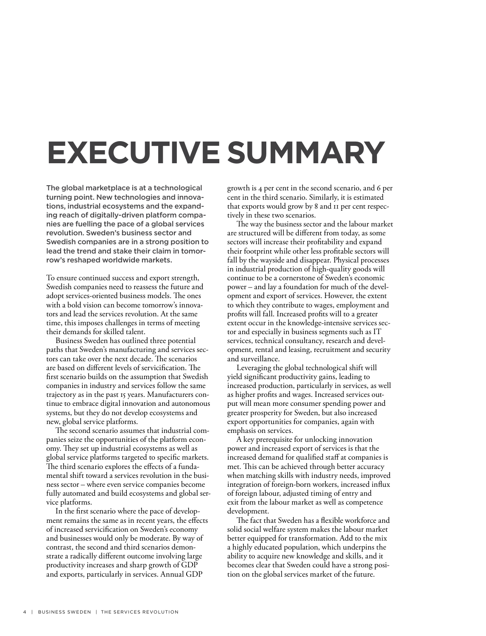# **EXECUTIVE SUMMARY**

The global marketplace is at a technological turning point. New technologies and innovations, industrial ecosystems and the expanding reach of digitally-driven platform companies are fuelling the pace of a global services revolution. Sweden's business sector and Swedish companies are in a strong position to lead the trend and stake their claim in tomorrow's reshaped worldwide markets.

To ensure continued success and export strength, Swedish companies need to reassess the future and adopt services-oriented business models. The ones with a bold vision can become tomorrow's innovators and lead the services revolution. At the same time, this imposes challenges in terms of meeting their demands for skilled talent.

Business Sweden has outlined three potential paths that Sweden's manufacturing and services sectors can take over the next decade. The scenarios are based on different levels of servicification. The first scenario builds on the assumption that Swedish companies in industry and services follow the same trajectory as in the past 15 years. Manufacturers continue to embrace digital innovation and autonomous systems, but they do not develop ecosystems and new, global service platforms.

The second scenario assumes that industrial companies seize the opportunities of the platform economy. They set up industrial ecosystems as well as global service platforms targeted to specific markets. The third scenario explores the effects of a fundamental shift toward a services revolution in the business sector – where even service companies become fully automated and build ecosystems and global service platforms.

In the first scenario where the pace of development remains the same as in recent years, the effects of increased servicification on Sweden's economy and businesses would only be moderate. By way of contrast, the second and third scenarios demonstrate a radically different outcome involving large productivity increases and sharp growth of GDP and exports, particularly in services. Annual GDP

growth is 4 per cent in the second scenario, and 6 per cent in the third scenario. Similarly, it is estimated that exports would grow by 8 and 11 per cent respectively in these two scenarios.

The way the business sector and the labour market are structured will be different from today, as some sectors will increase their profitability and expand their footprint while other less profitable sectors will fall by the wayside and disappear. Physical processes in industrial production of high-quality goods will continue to be a cornerstone of Sweden's economic power – and lay a foundation for much of the development and export of services. However, the extent to which they contribute to wages, employment and profits will fall. Increased profits will to a greater extent occur in the knowledge-intensive services sector and especially in business segments such as IT services, technical consultancy, research and development, rental and leasing, recruitment and security and surveillance.

Leveraging the global technological shift will yield significant productivity gains, leading to increased production, particularly in services, as well as higher profits and wages. Increased services output will mean more consumer spending power and greater prosperity for Sweden, but also increased export opportunities for companies, again with emphasis on services.

A key prerequisite for unlocking innovation power and increased export of services is that the increased demand for qualified staff at companies is met. This can be achieved through better accuracy when matching skills with industry needs, improved integration of foreign-born workers, increased influx of foreign labour, adjusted timing of entry and exit from the labour market as well as competence development.

The fact that Sweden has a flexible workforce and solid social welfare system makes the labour market better equipped for transformation. Add to the mix a highly educated population, which underpins the ability to acquire new knowledge and skills, and it becomes clear that Sweden could have a strong position on the global services market of the future.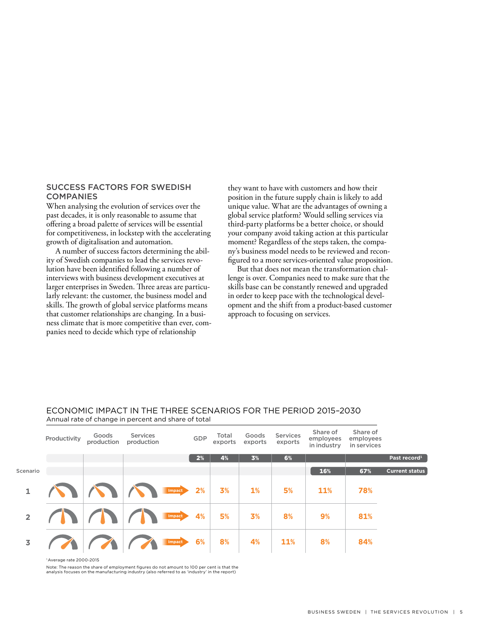### SUCCESS FACTORS FOR SWEDISH COMPANIES

When analysing the evolution of services over the past decades, it is only reasonable to assume that offering a broad palette of services will be essential for competitiveness, in lockstep with the accelerating growth of digitalisation and automation.

A number of success factors determining the ability of Swedish companies to lead the services revolution have been identified following a number of interviews with business development executives at larger enterprises in Sweden. Three areas are particularly relevant: the customer, the business model and skills. The growth of global service platforms means that customer relationships are changing. In a business climate that is more competitive than ever, companies need to decide which type of relationship

they want to have with customers and how their position in the future supply chain is likely to add unique value. What are the advantages of owning a global service platform? Would selling services via third-party platforms be a better choice, or should your company avoid taking action at this particular moment? Regardless of the steps taken, the company's business model needs to be reviewed and reconfigured to a more services-oriented value proposition.

But that does not mean the transformation challenge is over. Companies need to make sure that the skills base can be constantly renewed and upgraded in order to keep pace with the technological development and the shift from a product-based customer approach to focusing on services.

|                | Productivity | Goods<br>production | Services<br>production |        | GDP | Total<br>exports | Goods<br>exports | <b>Services</b><br>exports | Share of<br>employees<br>in industry | Share of<br>employees<br>in services |                          |
|----------------|--------------|---------------------|------------------------|--------|-----|------------------|------------------|----------------------------|--------------------------------------|--------------------------------------|--------------------------|
|                |              |                     |                        |        | 2%  | 4%               | 3%               | 6%                         |                                      |                                      | Past record <sup>1</sup> |
| Scenario       |              |                     |                        |        |     |                  |                  |                            | 16%                                  | 67%                                  | <b>Current status</b>    |
|                | <b>A</b>     |                     |                        | Impact | 2%  | 3%               | 1%               | 5%                         | 11%                                  | 78%                                  |                          |
| $\overline{2}$ | $\sqrt{N}$   | $\sqrt{N}$          |                        | Impact | 4%  | 5%               | 3%               | 8%                         | 9%                                   | 81%                                  |                          |
|                |              |                     | $\sqrt{2}$             | Impact | 6%  | 8%               | 4%               | 11%                        | 8%                                   | 84%                                  |                          |

#### ECONOMIC IMPACT IN THE THREE SCENARIOS FOR THE PERIOD 2015–2030 Annual rate of change in percent and share of total

Note: The reason the share of employment figures do not amount to 100 per cent is that the analysis focuses on the manufacturing industry (also referred to as 'industry' in the report)

<sup>1</sup> Average rate 2000-2015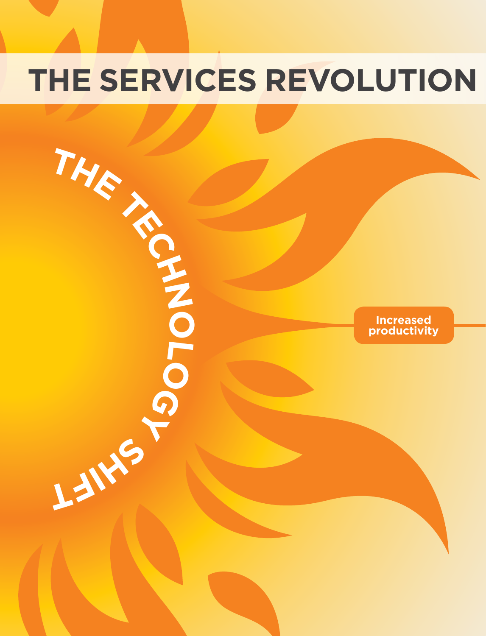# **THE SERVICES REVOLUTION**

6 | BUSINESS SWEDEN | THE SERVICES REVOLUTION

THE THE

 $L H^{15}$ 

**O**

**Increased productivity**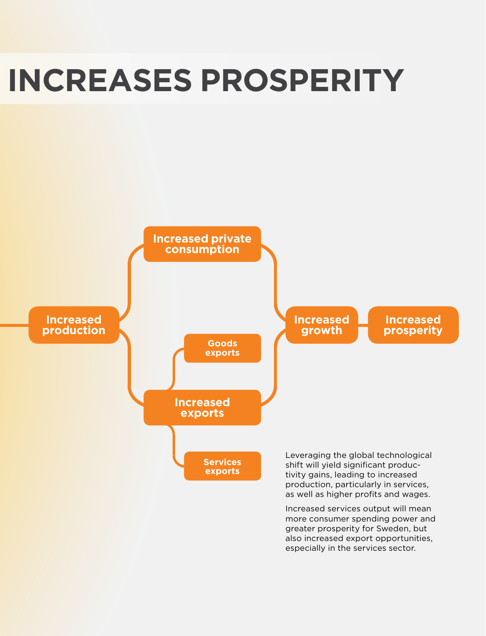# **INCREASES PROSPERITY**



Increased services output will mean more consumer spending power and greater prosperity for Sweden, but also increased export opportunities, especially in the services sector.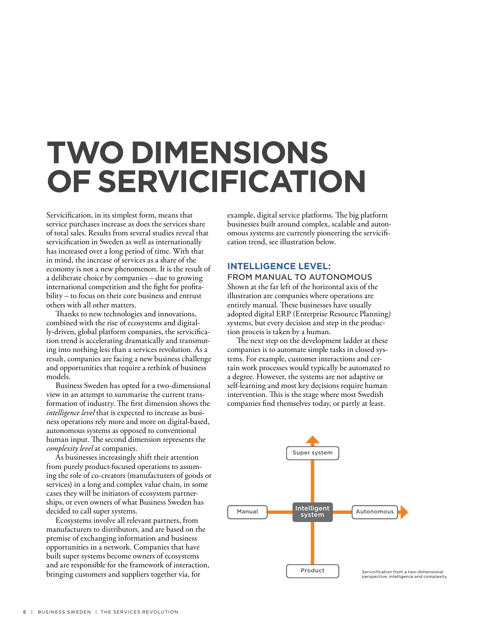### **TWO DIMENSIONS OF SERVICIFICATION**

Servicification, in its simplest form, means that service purchases increase as does the services share of total sales. Results from several studies reveal that servicification in Sweden as well as internationally has increased over a long period of time. With that in mind, the increase of services as a share of the economy is not a new phenomenon. It is the result of a deliberate choice by companies – due to growing international competition and the fight for profitability – to focus on their core business and entrust others with all other matters.

Thanks to new technologies and innovations, combined with the rise of ecosystems and digitally-driven, global platform companies, the servicification trend is accelerating dramatically and transmuting into nothing less than a services revolution. As a result, companies are facing a new business challenge and opportunities that require a rethink of business models.

Business Sweden has opted for a two-dimensional view in an attempt to summarise the current transformation of industry. The first dimension shows the *intelligence level* that is expected to increase as business operations rely more and more on digital-based, autonomous systems as opposed to conventional human input. The second dimension represents the *complexity level* at companies.

As businesses increasingly shift their attention from purely product-focused operations to assuming the role of co-creators (manufacturers of goods or services) in a long and complex value chain, in some cases they will be initiators of ecosystem partnerships, or even owners of what Business Sweden has decided to call super systems.

Ecosystems involve all relevant partners, from manufacturers to distributors, and are based on the premise of exchanging information and business opportunities in a network. Companies that have built super systems become owners of ecosystems and are responsible for the framework of interaction, bringing customers and suppliers together via, for

example, digital service platforms. The big platform businesses built around complex, scalable and autonomous systems are currently pioneering the servicification trend, see illustration below.

### **INTELLIGENCE LEVEL:**

FROM MANUAL TO AUTONOMOUS

Shown at the far left of the horizontal axis of the illustration are companies where operations are entirely manual. These businesses have usually adopted digital ERP (Enterprise Resource Planning) systems, but every decision and step in the production process is taken by a human.

The next step on the development ladder at these companies is to automate simple tasks in closed systems. For example, customer interactions and certain work processes would typically be automated to a degree. However, the systems are not adaptive or self-learning and most key decisions require human intervention. This is the stage where most Swedish companies find themselves today, or partly at least.

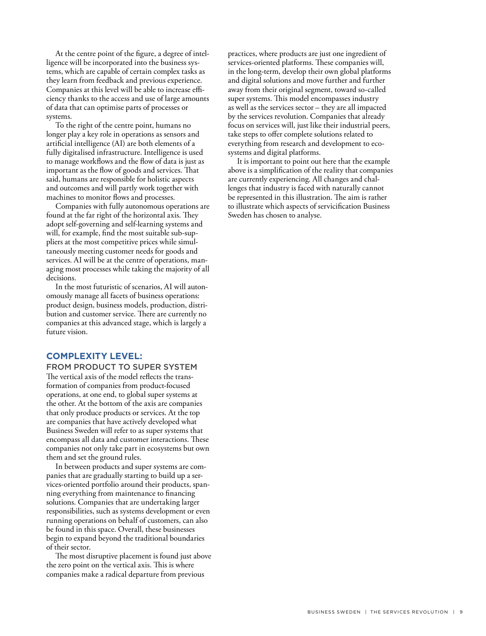At the centre point of the figure, a degree of intelligence will be incorporated into the business systems, which are capable of certain complex tasks as they learn from feedback and previous experience. Companies at this level will be able to increase efficiency thanks to the access and use of large amounts of data that can optimise parts of processes or systems.

To the right of the centre point, humans no longer play a key role in operations as sensors and artificial intelligence (AI) are both elements of a fully digitalised infrastructure. Intelligence is used to manage workflows and the flow of data is just as important as the flow of goods and services. That said, humans are responsible for holistic aspects and outcomes and will partly work together with machines to monitor flows and processes.

Companies with fully autonomous operations are found at the far right of the horizontal axis. They adopt self-governing and self-learning systems and will, for example, find the most suitable sub-suppliers at the most competitive prices while simultaneously meeting customer needs for goods and services. AI will be at the centre of operations, managing most processes while taking the majority of all decisions.

In the most futuristic of scenarios, AI will autonomously manage all facets of business operations: product design, business models, production, distribution and customer service. There are currently no companies at this advanced stage, which is largely a future vision.

### **COMPLEXITY LEVEL:**

FROM PRODUCT TO SUPER SYSTEM The vertical axis of the model reflects the transformation of companies from product-focused operations, at one end, to global super systems at the other. At the bottom of the axis are companies that only produce products or services. At the top are companies that have actively developed what Business Sweden will refer to as super systems that encompass all data and customer interactions. These companies not only take part in ecosystems but own them and set the ground rules.

In between products and super systems are companies that are gradually starting to build up a services-oriented portfolio around their products, spanning everything from maintenance to financing solutions. Companies that are undertaking larger responsibilities, such as systems development or even running operations on behalf of customers, can also be found in this space. Overall, these businesses begin to expand beyond the traditional boundaries of their sector.

The most disruptive placement is found just above the zero point on the vertical axis. This is where companies make a radical departure from previous

practices, where products are just one ingredient of services-oriented platforms. These companies will, in the long-term, develop their own global platforms and digital solutions and move further and further away from their original segment, toward so-called super systems. This model encompasses industry as well as the services sector – they are all impacted by the services revolution. Companies that already focus on services will, just like their industrial peers, take steps to offer complete solutions related to everything from research and development to ecosystems and digital platforms.

It is important to point out here that the example above is a simplification of the reality that companies are currently experiencing. All changes and challenges that industry is faced with naturally cannot be represented in this illustration. The aim is rather to illustrate which aspects of servicification Business Sweden has chosen to analyse.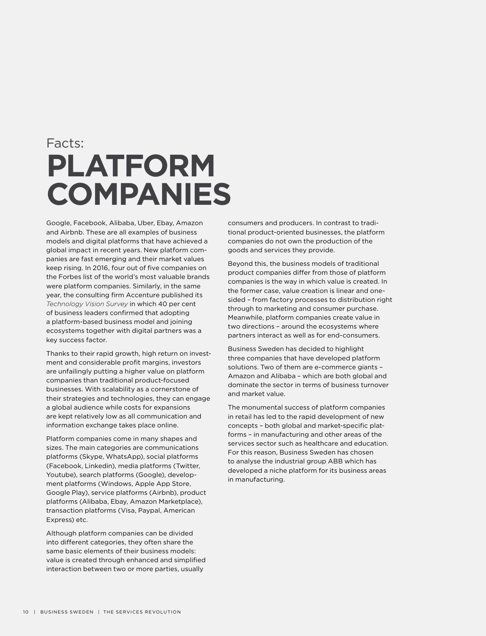### Facts: **PLATFORM COMPANIES**

Google, Facebook, Alibaba, Uber, Ebay, Amazon and Airbnb. These are all examples of business models and digital platforms that have achieved a global impact in recent years. New platform companies are fast emerging and their market values keep rising. In 2016, four out of five companies on the Forbes list of the world's most valuable brands were platform companies. Similarly, in the same year, the consulting firm Accenture published its *Technology Vision Survey* in which 40 per cent of business leaders confirmed that adopting a platform-based business model and joining ecosystems together with digital partners was a key success factor.

Thanks to their rapid growth, high return on investment and considerable profit margins, investors are unfailingly putting a higher value on platform companies than traditional product-focused businesses. With scalability as a cornerstone of their strategies and technologies, they can engage a global audience while costs for expansions are kept relatively low as all communication and information exchange takes place online.

Platform companies come in many shapes and sizes. The main categories are communications platforms (Skype, WhatsApp), social platforms (Facebook, Linkedin), media platforms (Twitter, Youtube), search platforms (Google), development platforms (Windows, Apple App Store, Google Play), service platforms (Airbnb), product platforms (Alibaba, Ebay, Amazon Marketplace), transaction platforms (Visa, Paypal, American Express) etc.

Although platform companies can be divided into different categories, they often share the same basic elements of their business models: value is created through enhanced and simplified interaction between two or more parties, usually

consumers and producers. In contrast to traditional product-oriented businesses, the platform companies do not own the production of the goods and services they provide.

Beyond this, the business models of traditional product companies differ from those of platform companies is the way in which value is created. In the former case, value creation is linear and onesided – from factory processes to distribution right through to marketing and consumer purchase. Meanwhile, platform companies create value in two directions – around the ecosystems where partners interact as well as for end-consumers.

Business Sweden has decided to highlight three companies that have developed platform solutions. Two of them are e-commerce giants – Amazon and Alibaba – which are both global and dominate the sector in terms of business turnover and market value.

The monumental success of platform companies in retail has led to the rapid development of new concepts – both global and market-specific platforms – in manufacturing and other areas of the services sector such as healthcare and education. For this reason, Business Sweden has chosen to analyse the industrial group ABB which has developed a niche platform for its business areas in manufacturing.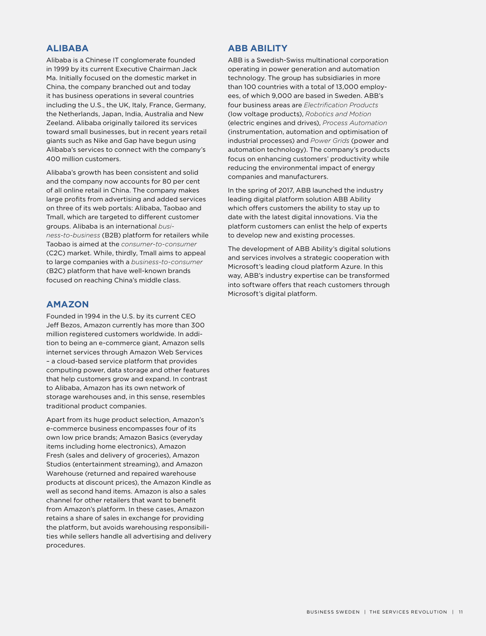### **ALIBABA**

Alibaba is a Chinese IT conglomerate founded in 1999 by its current Executive Chairman Jack Ma. Initially focused on the domestic market in China, the company branched out and today it has business operations in several countries including the U.S., the UK, Italy, France, Germany, the Netherlands, Japan, India, Australia and New Zeeland. Alibaba originally tailored its services toward small businesses, but in recent years retail giants such as Nike and Gap have begun using Alibaba's services to connect with the company's 400 million customers.

Alibaba's growth has been consistent and solid and the company now accounts for 80 per cent of all online retail in China. The company makes large profits from advertising and added services on three of its web portals: Alibaba, Taobao and Tmall, which are targeted to different customer groups. Alibaba is an international *business-to-business* (B2B) platform for retailers while Taobao is aimed at the *consumer-to-consumer*  (C2C) market. While, thirdly, Tmall aims to appeal to large companies with a *business-to-consumer*  (B2C) platform that have well-known brands focused on reaching China's middle class.

### **AMAZON**

Founded in 1994 in the U.S. by its current CEO Jeff Bezos, Amazon currently has more than 300 million registered customers worldwide. In addition to being an e-commerce giant, Amazon sells internet services through Amazon Web Services – a cloud-based service platform that provides computing power, data storage and other features that help customers grow and expand. In contrast to Alibaba, Amazon has its own network of storage warehouses and, in this sense, resembles traditional product companies.

Apart from its huge product selection, Amazon's e-commerce business encompasses four of its own low price brands; Amazon Basics (everyday items including home electronics), Amazon Fresh (sales and delivery of groceries), Amazon Studios (entertainment streaming), and Amazon Warehouse (returned and repaired warehouse products at discount prices), the Amazon Kindle as well as second hand items. Amazon is also a sales channel for other retailers that want to benefit from Amazon's platform. In these cases, Amazon retains a share of sales in exchange for providing the platform, but avoids warehousing responsibilities while sellers handle all advertising and delivery procedures.

### **ABB ABILITY**

ABB is a Swedish-Swiss multinational corporation operating in power generation and automation technology. The group has subsidiaries in more than 100 countries with a total of 13,000 employees, of which 9,000 are based in Sweden. ABB's four business areas are *Electrification Products*  (low voltage products), *Robotics and Motion*  (electric engines and drives), *Process Automation*  (instrumentation, automation and optimisation of industrial processes) and *Power Grids* (power and automation technology). The company's products focus on enhancing customers' productivity while reducing the environmental impact of energy companies and manufacturers.

In the spring of 2017, ABB launched the industry leading digital platform solution ABB Ability which offers customers the ability to stay up to date with the latest digital innovations. Via the platform customers can enlist the help of experts to develop new and existing processes.

The development of ABB Ability's digital solutions and services involves a strategic cooperation with Microsoft's leading cloud platform Azure. In this way, ABB's industry expertise can be transformed into software offers that reach customers through Microsoft's digital platform.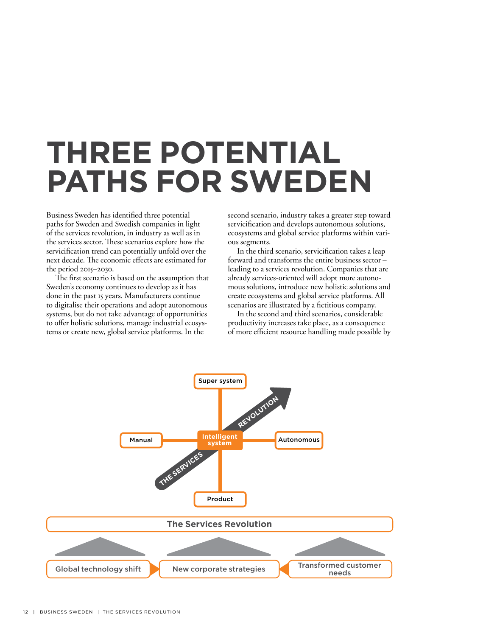### **THREE POTENTIAL PATHS FOR SWEDEN**

Business Sweden has identified three potential paths for Sweden and Swedish companies in light of the services revolution, in industry as well as in the services sector. These scenarios explore how the servicification trend can potentially unfold over the next decade. The economic effects are estimated for the period 2015–2030.

The first scenario is based on the assumption that Sweden's economy continues to develop as it has done in the past 15 years. Manufacturers continue to digitalise their operations and adopt autonomous systems, but do not take advantage of opportunities to offer holistic solutions, manage industrial ecosystems or create new, global service platforms. In the

second scenario, industry takes a greater step toward servicification and develops autonomous solutions, ecosystems and global service platforms within various segments.

In the third scenario, servicification takes a leap forward and transforms the entire business sector – leading to a services revolution. Companies that are already services-oriented will adopt more autonomous solutions, introduce new holistic solutions and create ecosystems and global service platforms. All scenarios are illustrated by a fictitious company.

In the second and third scenarios, considerable productivity increases take place, as a consequence of more efficient resource handling made possible by

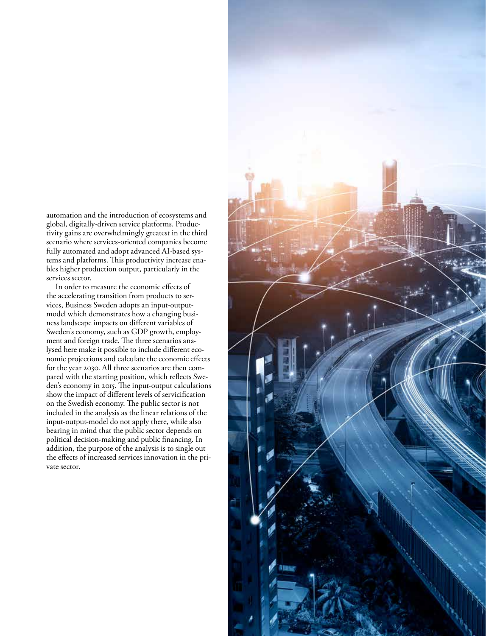automation and the introduction of ecosystems and global, digitally-driven service platforms. Productivity gains are overwhelmingly greatest in the third scenario where services-oriented companies become fully automated and adopt advanced AI-based systems and platforms. This productivity increase enables higher production output, particularly in the services sector.

In order to measure the economic effects of the accelerating transition from products to services, Business Sweden adopts an input-outputmodel which demonstrates how a changing business landscape impacts on different variables of Sweden's economy, such as GDP growth, employment and foreign trade. The three scenarios analysed here make it possible to include different economic projections and calculate the economic effects for the year 2030. All three scenarios are then compared with the starting position, which reflects Sweden's economy in 2015. The input-output calculations show the impact of different levels of servicification on the Swedish economy. The public sector is not included in the analysis as the linear relations of the input-output-model do not apply there, while also bearing in mind that the public sector depends on political decision-making and public financing. In addition, the purpose of the analysis is to single out the effects of increased services innovation in the private sector.

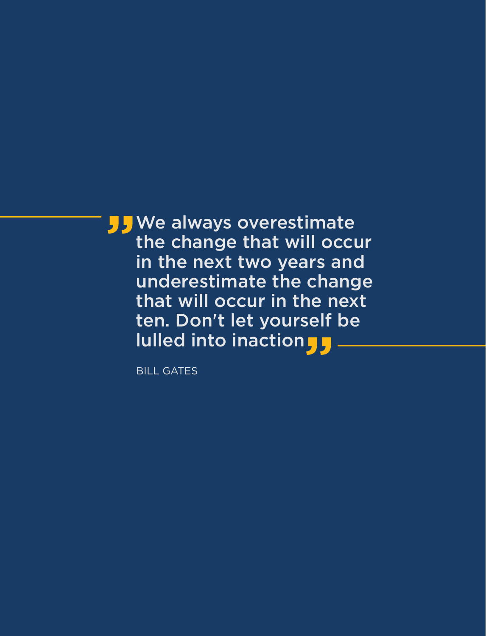**J** J We always overestimate the change that will occur in the next two years and underestimate the change that will occur in the next ten. Don't let yourself be **lulled into inaction 55**<br>BILL GATES

**BILL GATES**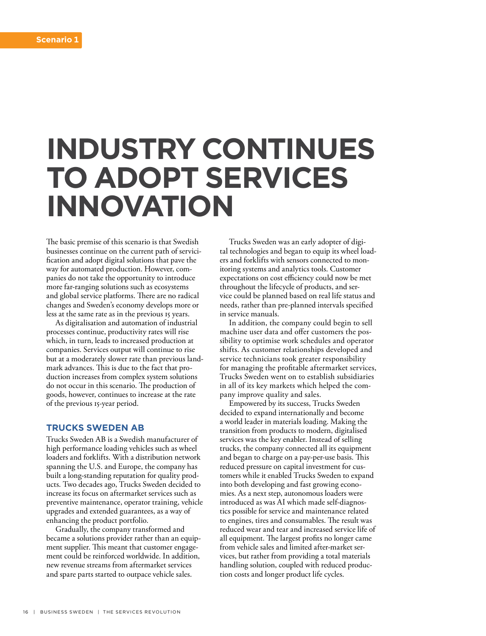### **INDUSTRY CONTINUES TO ADOPT SERVICES INNOVATION**

The basic premise of this scenario is that Swedish businesses continue on the current path of servicification and adopt digital solutions that pave the way for automated production. However, companies do not take the opportunity to introduce more far-ranging solutions such as ecosystems and global service platforms. There are no radical changes and Sweden's economy develops more or less at the same rate as in the previous 15 years.

As digitalisation and automation of industrial processes continue, productivity rates will rise which, in turn, leads to increased production at companies. Services output will continue to rise but at a moderately slower rate than previous landmark advances. This is due to the fact that production increases from complex system solutions do not occur in this scenario. The production of goods, however, continues to increase at the rate of the previous 15-year period.

### **TRUCKS SWEDEN AB**

Trucks Sweden AB is a Swedish manufacturer of high performance loading vehicles such as wheel loaders and forklifts. With a distribution network spanning the U.S. and Europe, the company has built a long-standing reputation for quality products. Two decades ago, Trucks Sweden decided to increase its focus on aftermarket services such as preventive maintenance, operator training, vehicle upgrades and extended guarantees, as a way of enhancing the product portfolio.

Gradually, the company transformed and became a solutions provider rather than an equipment supplier. This meant that customer engagement could be reinforced worldwide. In addition, new revenue streams from aftermarket services and spare parts started to outpace vehicle sales.

Trucks Sweden was an early adopter of digital technologies and began to equip its wheel loaders and forklifts with sensors connected to monitoring systems and analytics tools. Customer expectations on cost efficiency could now be met throughout the lifecycle of products, and service could be planned based on real life status and needs, rather than pre-planned intervals specified in service manuals.

In addition, the company could begin to sell machine user data and offer customers the possibility to optimise work schedules and operator shifts. As customer relationships developed and service technicians took greater responsibility for managing the profitable aftermarket services, Trucks Sweden went on to establish subsidiaries in all of its key markets which helped the company improve quality and sales.

Empowered by its success, Trucks Sweden decided to expand internationally and become a world leader in materials loading. Making the transition from products to modern, digitalised services was the key enabler. Instead of selling trucks, the company connected all its equipment and began to charge on a pay-per-use basis. This reduced pressure on capital investment for customers while it enabled Trucks Sweden to expand into both developing and fast growing economies. As a next step, autonomous loaders were introduced as was AI which made self-diagnostics possible for service and maintenance related to engines, tires and consumables. The result was reduced wear and tear and increased service life of all equipment. The largest profits no longer came from vehicle sales and limited after-market services, but rather from providing a total materials handling solution, coupled with reduced production costs and longer product life cycles.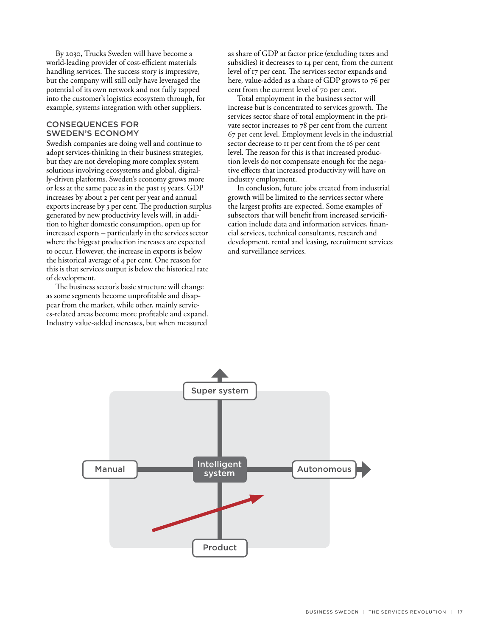By 2030, Trucks Sweden will have become a world-leading provider of cost-efficient materials handling services. The success story is impressive, but the company will still only have leveraged the potential of its own network and not fully tapped into the customer's logistics ecosystem through, for example, systems integration with other suppliers.

#### CONSEQUENCES FOR SWEDEN'S ECONOMY

Swedish companies are doing well and continue to adopt services-thinking in their business strategies, but they are not developing more complex system solutions involving ecosystems and global, digitally-driven platforms. Sweden's economy grows more or less at the same pace as in the past 15 years. GDP increases by about 2 per cent per year and annual exports increase by 3 per cent. The production surplus generated by new productivity levels will, in addition to higher domestic consumption, open up for increased exports – particularly in the services sector where the biggest production increases are expected to occur. However, the increase in exports is below the historical average of 4 per cent. One reason for this is that services output is below the historical rate of development.

The business sector's basic structure will change as some segments become unprofitable and disappear from the market, while other, mainly services-related areas become more profitable and expand. Industry value-added increases, but when measured

as share of GDP at factor price (excluding taxes and subsidies) it decreases to 14 per cent, from the current level of 17 per cent. The services sector expands and here, value-added as a share of GDP grows to 76 per cent from the current level of 70 per cent.

Total employment in the business sector will increase but is concentrated to services growth. The services sector share of total employment in the private sector increases to 78 per cent from the current 67 per cent level. Employment levels in the industrial sector decrease to 11 per cent from the 16 per cent level. The reason for this is that increased production levels do not compensate enough for the negative effects that increased productivity will have on industry employment.

In conclusion, future jobs created from industrial growth will be limited to the services sector where the largest profits are expected. Some examples of subsectors that will benefit from increased servicification include data and information services, financial services, technical consultants, research and development, rental and leasing, recruitment services and surveillance services.

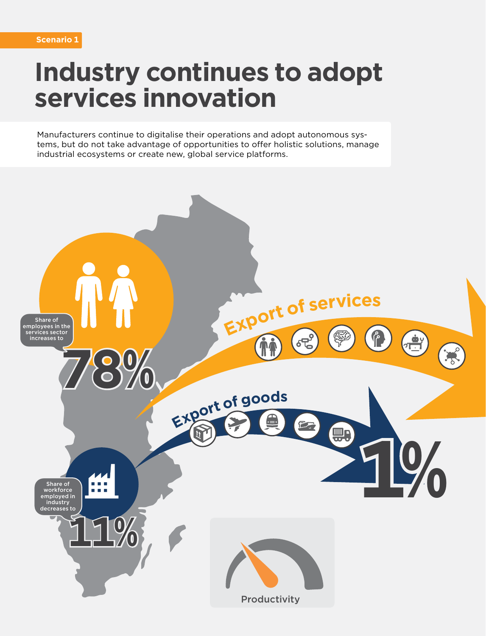### **Industry continues to adopt services innovation**

Manufacturers continue to digitalise their operations and adopt autonomous systems, but do not take advantage of opportunities to offer holistic solutions, manage industrial ecosystems or create new, global service platforms.

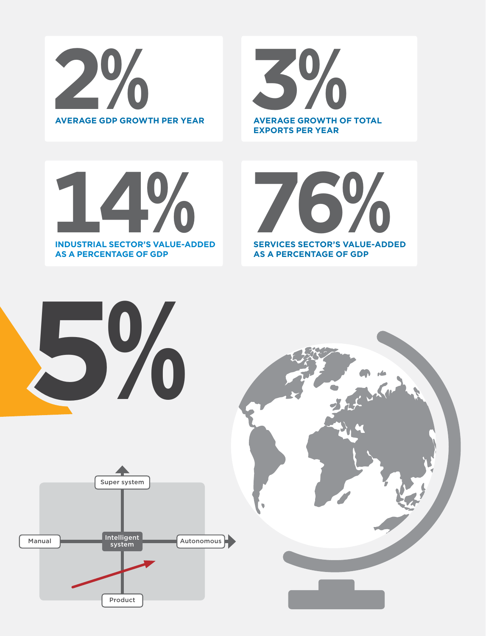







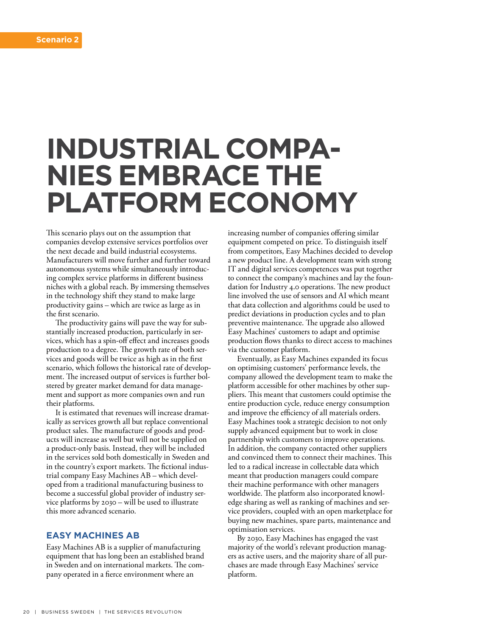### **INDUSTRIAL COMPA-NIES EMBRACE THE PLATFORM ECONOMY**

This scenario plays out on the assumption that companies develop extensive services portfolios over the next decade and build industrial ecosystems. Manufacturers will move further and further toward autonomous systems while simultaneously introducing complex service platforms in different business niches with a global reach. By immersing themselves in the technology shift they stand to make large productivity gains – which are twice as large as in the first scenario.

The productivity gains will pave the way for substantially increased production, particularly in services, which has a spin-off effect and increases goods production to a degree. The growth rate of both services and goods will be twice as high as in the first scenario, which follows the historical rate of development. The increased output of services is further bolstered by greater market demand for data management and support as more companies own and run their platforms.

It is estimated that revenues will increase dramatically as services growth all but replace conventional product sales. The manufacture of goods and products will increase as well but will not be supplied on a product-only basis. Instead, they will be included in the services sold both domestically in Sweden and in the country's export markets. The fictional industrial company Easy Machines AB – which developed from a traditional manufacturing business to become a successful global provider of industry service platforms by 2030 – will be used to illustrate this more advanced scenario.

### **EASY MACHINES AB**

Easy Machines AB is a supplier of manufacturing equipment that has long been an established brand in Sweden and on international markets. The company operated in a fierce environment where an

increasing number of companies offering similar equipment competed on price. To distinguish itself from competitors, Easy Machines decided to develop a new product line. A development team with strong IT and digital services competences was put together to connect the company's machines and lay the foundation for Industry 4.0 operations. The new product line involved the use of sensors and AI which meant that data collection and algorithms could be used to predict deviations in production cycles and to plan preventive maintenance. The upgrade also allowed Easy Machines' customers to adapt and optimise production flows thanks to direct access to machines via the customer platform.

Eventually, as Easy Machines expanded its focus on optimising customers' performance levels, the company allowed the development team to make the platform accessible for other machines by other suppliers. This meant that customers could optimise the entire production cycle, reduce energy consumption and improve the efficiency of all materials orders. Easy Machines took a strategic decision to not only supply advanced equipment but to work in close partnership with customers to improve operations. In addition, the company contacted other suppliers and convinced them to connect their machines. This led to a radical increase in collectable data which meant that production managers could compare their machine performance with other managers worldwide. The platform also incorporated knowledge sharing as well as ranking of machines and service providers, coupled with an open marketplace for buying new machines, spare parts, maintenance and optimisation services.

By 2030, Easy Machines has engaged the vast majority of the world's relevant production managers as active users, and the majority share of all purchases are made through Easy Machines' service platform.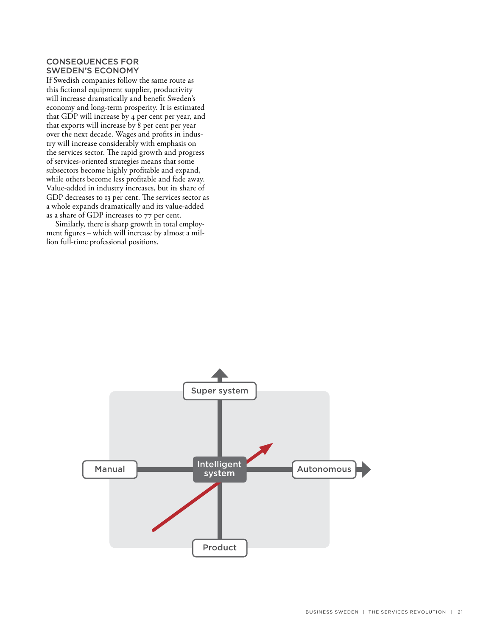### CONSEQUENCES FOR SWEDEN'S ECONOMY

If Swedish companies follow the same route as this fictional equipment supplier, productivity will increase dramatically and benefit Sweden's economy and long-term prosperity. It is estimated that GDP will increase by 4 per cent per year, and that exports will increase by 8 per cent per year over the next decade. Wages and profits in industry will increase considerably with emphasis on the services sector. The rapid growth and progress of services-oriented strategies means that some subsectors become highly profitable and expand, while others become less profitable and fade away. Value-added in industry increases, but its share of GDP decreases to 13 per cent. The services sector as a whole expands dramatically and its value-added as a share of GDP increases to 77 per cent.

Similarly, there is sharp growth in total employment figures – which will increase by almost a million full-time professional positions.

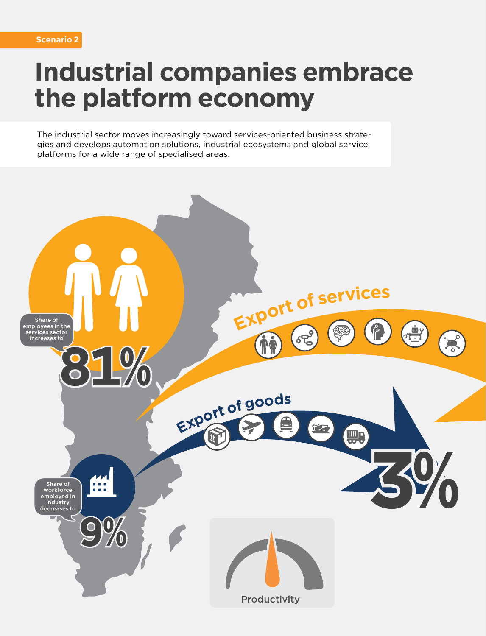**Scenario 2**

### **Industrial companies embrace the platform economy**

The industrial sector moves increasingly toward services-oriented business strategies and develops automation solutions, industrial ecosystems and global service platforms for a wide range of specialised areas.

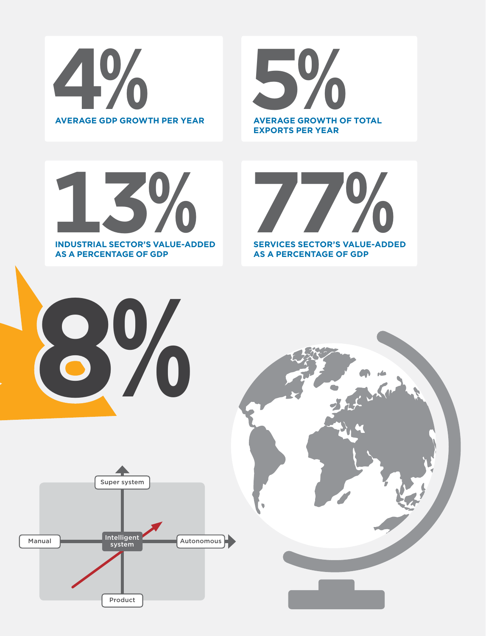



**13% INDUSTRIAL SECTOR'S VALUE-ADDED AS A PERCENTAGE OF GDP**



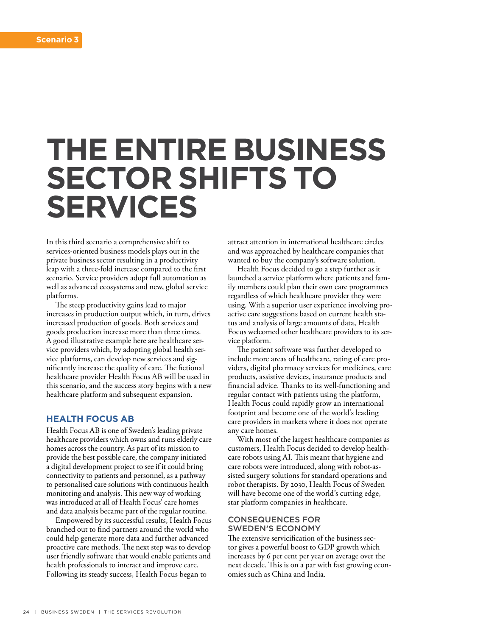### **THE ENTIRE BUSINESS SECTOR SHIFTS TO SERVICES**

In this third scenario a comprehensive shift to services-oriented business models plays out in the private business sector resulting in a productivity leap with a three-fold increase compared to the first scenario. Service providers adopt full automation as well as advanced ecosystems and new, global service platforms.

The steep productivity gains lead to major increases in production output which, in turn, drives increased production of goods. Both services and goods production increase more than three times. A good illustrative example here are healthcare service providers which, by adopting global health service platforms, can develop new services and significantly increase the quality of care. The fictional healthcare provider Health Focus AB will be used in this scenario, and the success story begins with a new healthcare platform and subsequent expansion.

### **HEALTH FOCUS AB**

Health Focus AB is one of Sweden's leading private healthcare providers which owns and runs elderly care homes across the country. As part of its mission to provide the best possible care, the company initiated a digital development project to see if it could bring connectivity to patients and personnel, as a pathway to personalised care solutions with continuous health monitoring and analysis. This new way of working was introduced at all of Health Focus' care homes and data analysis became part of the regular routine.

Empowered by its successful results, Health Focus branched out to find partners around the world who could help generate more data and further advanced proactive care methods. The next step was to develop user friendly software that would enable patients and health professionals to interact and improve care. Following its steady success, Health Focus began to

attract attention in international healthcare circles and was approached by healthcare companies that wanted to buy the company's software solution.

Health Focus decided to go a step further as it launched a service platform where patients and family members could plan their own care programmes regardless of which healthcare provider they were using. With a superior user experience involving proactive care suggestions based on current health status and analysis of large amounts of data, Health Focus welcomed other healthcare providers to its service platform.

The patient software was further developed to include more areas of healthcare, rating of care providers, digital pharmacy services for medicines, care products, assistive devices, insurance products and financial advice. Thanks to its well-functioning and regular contact with patients using the platform, Health Focus could rapidly grow an international footprint and become one of the world's leading care providers in markets where it does not operate any care homes.

With most of the largest healthcare companies as customers, Health Focus decided to develop healthcare robots using AI. This meant that hygiene and care robots were introduced, along with robot-assisted surgery solutions for standard operations and robot therapists. By 2030, Health Focus of Sweden will have become one of the world's cutting edge, star platform companies in healthcare.

### CONSEQUENCES FOR SWEDEN'S ECONOMY

The extensive servicification of the business sector gives a powerful boost to GDP growth which increases by 6 per cent per year on average over the next decade. This is on a par with fast growing economies such as China and India.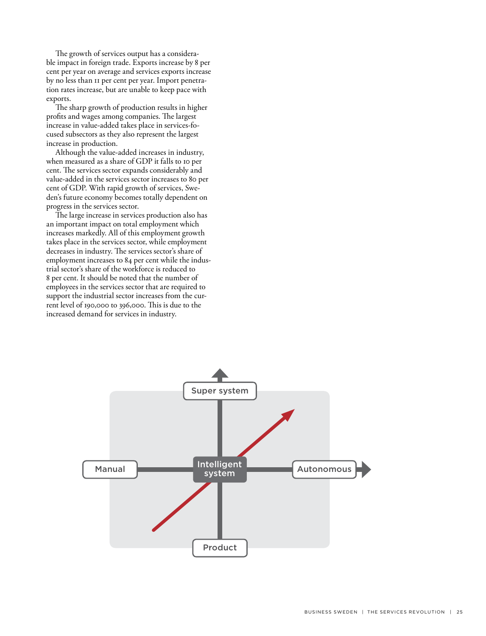The growth of services output has a considerable impact in foreign trade. Exports increase by 8 per cent per year on average and services exports increase by no less than 11 per cent per year. Import penetration rates increase, but are unable to keep pace with exports.

The sharp growth of production results in higher profits and wages among companies. The largest increase in value-added takes place in services-focused subsectors as they also represent the largest increase in production.

Although the value-added increases in industry, when measured as a share of GDP it falls to 10 per cent. The services sector expands considerably and value-added in the services sector increases to 80 per cent of GDP. With rapid growth of services, Sweden's future economy becomes totally dependent on progress in the services sector.

The large increase in services production also has an important impact on total employment which increases markedly. All of this employment growth takes place in the services sector, while employment decreases in industry. The services sector's share of employment increases to 84 per cent while the industrial sector's share of the workforce is reduced to 8 per cent. It should be noted that the number of employees in the services sector that are required to support the industrial sector increases from the current level of 190,000 to 396,000. This is due to the increased demand for services in industry.

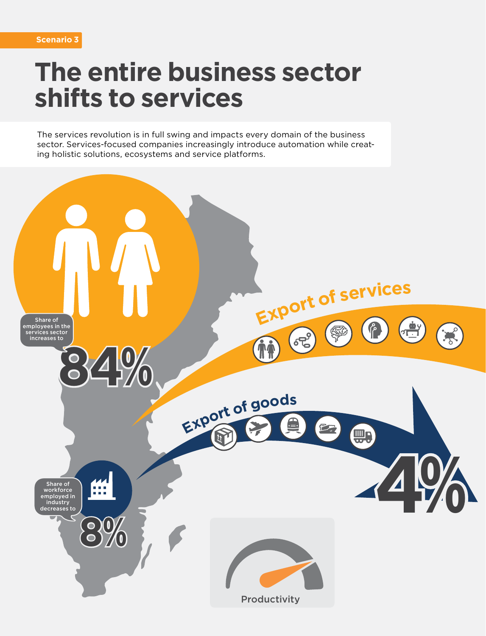**Scenario 3**

### **The entire business sector shifts to services**

The services revolution is in full swing and impacts every domain of the business sector. Services-focused companies increasingly introduce automation while creating holistic solutions, ecosystems and service platforms.

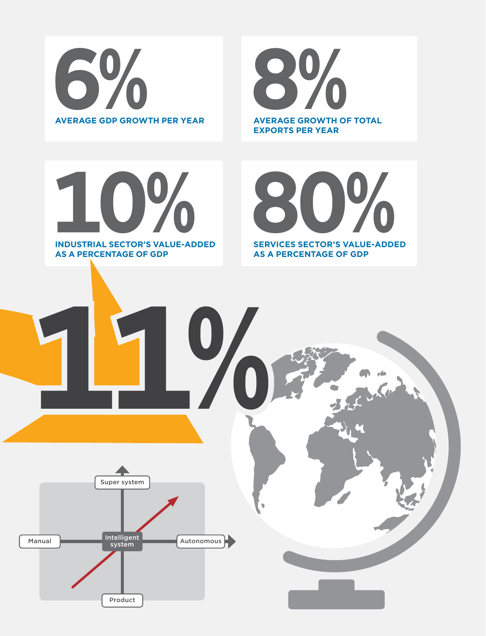

**8% AVERAGE GROWTH OF TOTAL EXPORTS PER YEAR**

**10% INDUSTRIAL SECTOR'S VALUE-ADDED** 

**11%**

**AS A PERCENTAGE OF GDP**

Super system

Product

Manual **Autonomous** Intelligent **Autonomous** 

Intelligent system

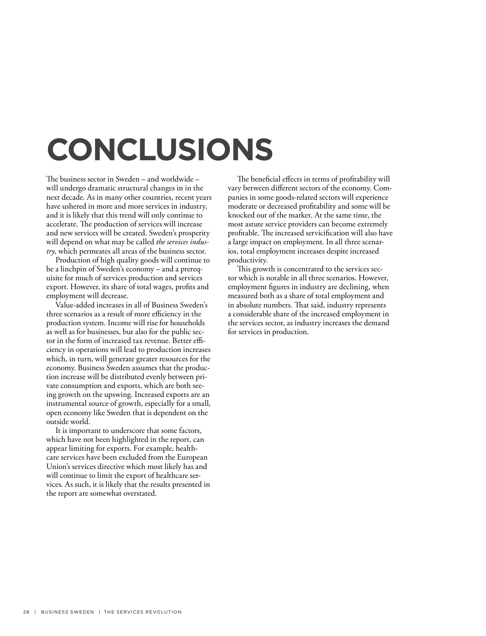# **CONCLUSIONS**

The business sector in Sweden – and worldwide – will undergo dramatic structural changes in in the next decade. As in many other countries, recent years have ushered in more and more services in industry, and it is likely that this trend will only continue to accelerate. The production of services will increase and new services will be created. Sweden's prosperity will depend on what may be called *the services industry*, which permeates all areas of the business sector.

Production of high quality goods will continue to be a linchpin of Sweden's economy – and a prerequisite for much of services production and services export. However, its share of total wages, profits and employment will decrease.

Value-added increases in all of Business Sweden's three scenarios as a result of more efficiency in the production system. Income will rise for households as well as for businesses, but also for the public sector in the form of increased tax revenue. Better efficiency in operations will lead to production increases which, in turn, will generate greater resources for the economy. Business Sweden assumes that the production increase will be distributed evenly between private consumption and exports, which are both seeing growth on the upswing. Increased exports are an instrumental source of growth, especially for a small, open economy like Sweden that is dependent on the outside world.

It is important to underscore that some factors, which have not been highlighted in the report, can appear limiting for exports. For example, healthcare services have been excluded from the European Union's services directive which most likely has and will continue to limit the export of healthcare services. As such, it is likely that the results presented in the report are somewhat overstated.

The beneficial effects in terms of profitability will vary between different sectors of the economy. Companies in some goods-related sectors will experience moderate or decreased profitability and some will be knocked out of the market. At the same time, the most astute service providers can become extremely profitable. The increased servicification will also have a large impact on employment. In all three scenarios, total employment increases despite increased productivity.

This growth is concentrated to the services sector which is notable in all three scenarios. However, employment figures in industry are declining, when measured both as a share of total employment and in absolute numbers. That said, industry represents a considerable share of the increased employment in the services sector, as industry increases the demand for services in production.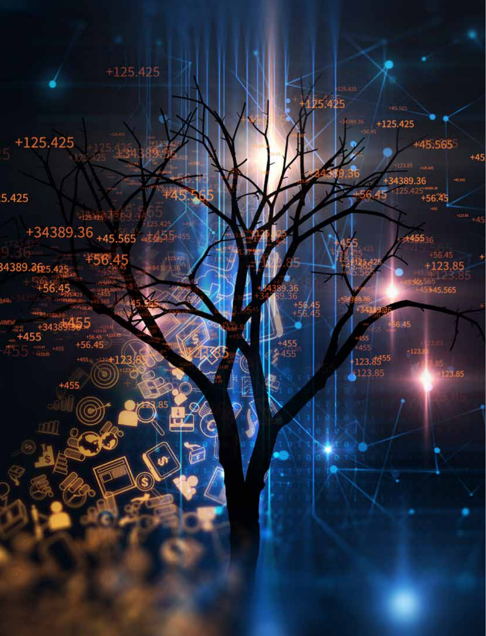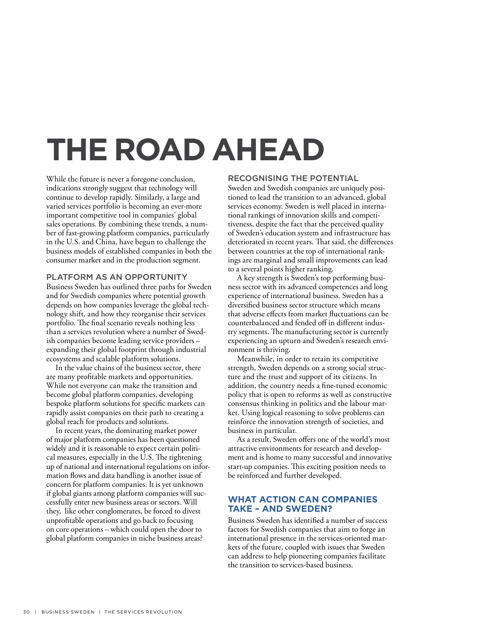# **THE ROAD AHEAD**

While the future is never a foregone conclusion, indications strongly suggest that technology will continue to develop rapidly. Similarly, a large and varied services portfolio is becoming an ever-more important competitive tool in companies' global sales operations. By combining these trends, a number of fast-growing platform companies, particularly in the U.S. and China, have begun to challenge the business models of established companies in both the consumer market and in the production segment.

#### PLATFORM AS AN OPPORTUNITY

Business Sweden has outlined three paths for Sweden and for Swedish companies where potential growth depends on how companies leverage the global technology shift, and how they reorganise their services portfolio. The final scenario reveals nothing less than a services revolution where a number of Swedish companies become leading service providers – expanding their global footprint through industrial ecosystems and scalable platform solutions.

In the value chains of the business sector, there are many profitable markets and opportunities. While not everyone can make the transition and become global platform companies, developing bespoke platform solutions for specific markets can rapidly assist companies on their path to creating a global reach for products and solutions.

In recent years, the dominating market power of major platform companies has been questioned widely and it is reasonable to expect certain political measures, especially in the U.S. The tightening up of national and international regulations on information flows and data handling is another issue of concern for platform companies. It is yet unknown if global giants among platform companies will successfully enter new business areas or sectors. Will they, like other conglomerates, be forced to divest unprofitable operations and go back to focusing on core operations – which could open the door to global platform companies in niche business areas?

### RECOGNISING THE POTENTIAL

Sweden and Swedish companies are uniquely positioned to lead the transition to an advanced, global services economy. Sweden is well placed in international rankings of innovation skills and competitiveness, despite the fact that the perceived quality of Sweden's education system and infrastructure has deteriorated in recent years. That said, the differences between countries at the top of international rankings are marginal and small improvements can lead to a several points higher ranking.

A key strength is Sweden's top performing business sector with its advanced competences and long experience of international business. Sweden has a diversified business sector structure which means that adverse effects from market fluctuations can be counterbalanced and fended off in different industry segments. The manufacturing sector is currently experiencing an upturn and Sweden's research environment is thriving.

Meanwhile, in order to retain its competitive strength, Sweden depends on a strong social structure and the trust and support of its citizens. In addition, the country needs a fine-tuned economic policy that is open to reforms as well as constructive consensus thinking in politics and the labour market. Using logical reasoning to solve problems can reinforce the innovation strength of societies, and business in particular.

As a result, Sweden offers one of the world's most attractive environments for research and development and is home to many successful and innovative start-up companies. This exciting position needs to be reinforced and further developed.

### **WHAT ACTION CAN COMPANIES TAKE – AND SWEDEN?**

Business Sweden has identified a number of success factors for Swedish companies that aim to forge an international presence in the services-oriented markets of the future, coupled with issues that Sweden can address to help pioneering companies facilitate the transition to services-based business.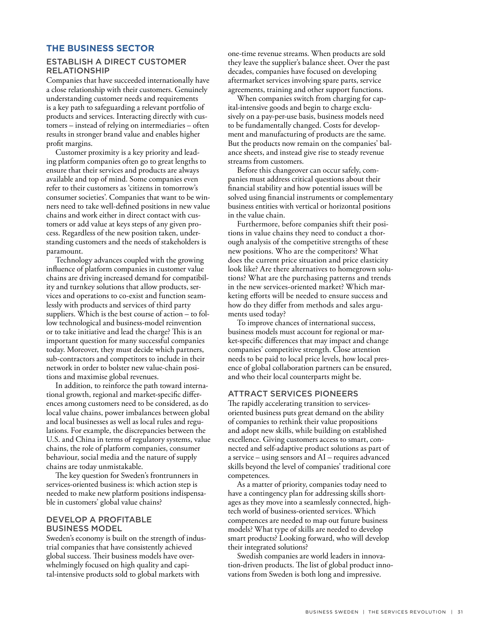### **THE BUSINESS SECTOR**

### ESTABLISH A DIRECT CUSTOMER RELATIONSHIP

Companies that have succeeded internationally have a close relationship with their customers. Genuinely understanding customer needs and requirements is a key path to safeguarding a relevant portfolio of products and services. Interacting directly with customers – instead of relying on intermediaries – often results in stronger brand value and enables higher profit margins.

Customer proximity is a key priority and leading platform companies often go to great lengths to ensure that their services and products are always available and top of mind. Some companies even refer to their customers as 'citizens in tomorrow's consumer societies'. Companies that want to be winners need to take well-defined positions in new value chains and work either in direct contact with customers or add value at keys steps of any given process. Regardless of the new position taken, understanding customers and the needs of stakeholders is paramount.

Technology advances coupled with the growing influence of platform companies in customer value chains are driving increased demand for compatibility and turnkey solutions that allow products, services and operations to co-exist and function seamlessly with products and services of third party suppliers. Which is the best course of action – to follow technological and business-model reinvention or to take initiative and lead the charge? This is an important question for many successful companies today. Moreover, they must decide which partners, sub-contractors and competitors to include in their network in order to bolster new value-chain positions and maximise global revenues.

In addition, to reinforce the path toward international growth, regional and market-specific differences among customers need to be considered, as do local value chains, power imbalances between global and local businesses as well as local rules and regulations. For example, the discrepancies between the U.S. and China in terms of regulatory systems, value chains, the role of platform companies, consumer behaviour, social media and the nature of supply chains are today unmistakable.

The key question for Sweden's frontrunners in services-oriented business is: which action step is needed to make new platform positions indispensable in customers' global value chains?

### DEVELOP A PROFITABLE BUSINESS MODEL

Sweden's economy is built on the strength of industrial companies that have consistently achieved global success. Their business models have overwhelmingly focused on high quality and capital-intensive products sold to global markets with

one-time revenue streams. When products are sold they leave the supplier's balance sheet. Over the past decades, companies have focused on developing aftermarket services involving spare parts, service agreements, training and other support functions.

When companies switch from charging for capital-intensive goods and begin to charge exclusively on a pay-per-use basis, business models need to be fundamentally changed. Costs for development and manufacturing of products are the same. But the products now remain on the companies' balance sheets, and instead give rise to steady revenue streams from customers.

Before this changeover can occur safely, companies must address critical questions about their financial stability and how potential issues will be solved using financial instruments or complementary business entities with vertical or horizontal positions in the value chain.

Furthermore, before companies shift their positions in value chains they need to conduct a thorough analysis of the competitive strengths of these new positions. Who are the competitors? What does the current price situation and price elasticity look like? Are there alternatives to homegrown solutions? What are the purchasing patterns and trends in the new services-oriented market? Which marketing efforts will be needed to ensure success and how do they differ from methods and sales arguments used today?

To improve chances of international success, business models must account for regional or market-specific differences that may impact and change companies' competitive strength. Close attention needs to be paid to local price levels, how local presence of global collaboration partners can be ensured, and who their local counterparts might be.

#### ATTRACT SERVICES PIONEERS

The rapidly accelerating transition to servicesoriented business puts great demand on the ability of companies to rethink their value propositions and adopt new skills, while building on established excellence. Giving customers access to smart, connected and self-adaptive product solutions as part of a service – using sensors and AI – requires advanced skills beyond the level of companies' traditional core competences.

As a matter of priority, companies today need to have a contingency plan for addressing skills shortages as they move into a seamlessly connected, hightech world of business-oriented services. Which competences are needed to map out future business models? What type of skills are needed to develop smart products? Looking forward, who will develop their integrated solutions?

Swedish companies are world leaders in innovation-driven products. The list of global product innovations from Sweden is both long and impressive.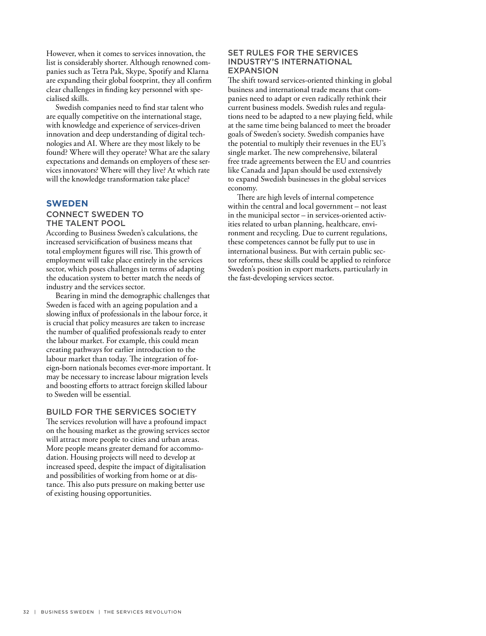However, when it comes to services innovation, the list is considerably shorter. Although renowned companies such as Tetra Pak, Skype, Spotify and Klarna are expanding their global footprint, they all confirm clear challenges in finding key personnel with specialised skills.

Swedish companies need to find star talent who are equally competitive on the international stage, with knowledge and experience of services-driven innovation and deep understanding of digital technologies and AI. Where are they most likely to be found? Where will they operate? What are the salary expectations and demands on employers of these services innovators? Where will they live? At which rate will the knowledge transformation take place?

#### **SWEDEN**

### CONNECT SWEDEN TO THE TALENT POOL

According to Business Sweden's calculations, the increased servicification of business means that total employment figures will rise. This growth of employment will take place entirely in the services sector, which poses challenges in terms of adapting the education system to better match the needs of industry and the services sector.

Bearing in mind the demographic challenges that Sweden is faced with an ageing population and a slowing influx of professionals in the labour force, it is crucial that policy measures are taken to increase the number of qualified professionals ready to enter the labour market. For example, this could mean creating pathways for earlier introduction to the labour market than today. The integration of foreign-born nationals becomes ever-more important. It may be necessary to increase labour migration levels and boosting efforts to attract foreign skilled labour to Sweden will be essential.

### BUILD FOR THE SERVICES SOCIETY

The services revolution will have a profound impact on the housing market as the growing services sector will attract more people to cities and urban areas. More people means greater demand for accommodation. Housing projects will need to develop at increased speed, despite the impact of digitalisation and possibilities of working from home or at distance. This also puts pressure on making better use of existing housing opportunities.

### SET RULES FOR THE SERVICES INDUSTRY'S INTERNATIONAL **EXPANSION**

The shift toward services-oriented thinking in global business and international trade means that companies need to adapt or even radically rethink their current business models. Swedish rules and regulations need to be adapted to a new playing field, while at the same time being balanced to meet the broader goals of Sweden's society. Swedish companies have the potential to multiply their revenues in the EU's single market. The new comprehensive, bilateral free trade agreements between the EU and countries like Canada and Japan should be used extensively to expand Swedish businesses in the global services economy.

There are high levels of internal competence within the central and local government – not least in the municipal sector – in services-oriented activities related to urban planning, healthcare, environment and recycling. Due to current regulations, these competences cannot be fully put to use in international business. But with certain public sector reforms, these skills could be applied to reinforce Sweden's position in export markets, particularly in the fast-developing services sector.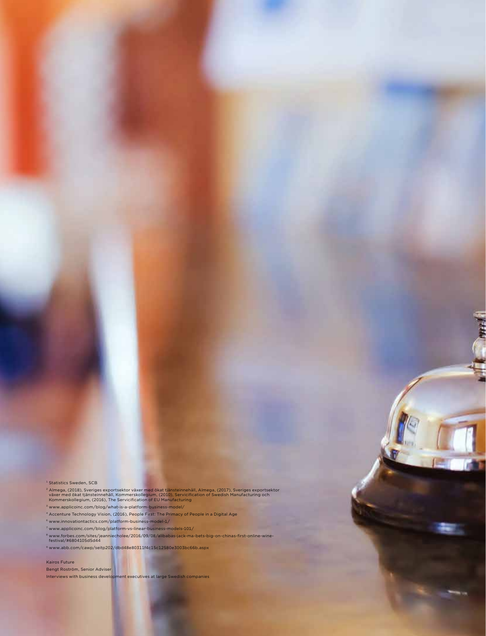#### <sup>1</sup> Statistics Sweden, SCB

<sup>2</sup> Almega, (2018), Sveriges exportsektor växer med ökat tjänsteinnehåll, Almega, (2017), Sveriges exportsektor<br>växer med ökat tjänsteinnehåll, Kommerskollegium, (2010), Servicification of Swedish Manufacturing och<br>Kommers

3 www.applicoinc.com/blog/what-is-a-platform-business-model/

4 Accenture Technology Vision, (2016), People First: The Primacy of People in a Digital Age

6 www.innovationtactics.com/platform-business-model-1/

7 www.applicoinc.com/blog/platform-vs-linear-business-models-101/

<sup>8</sup> www.forbes.com/sites/jeanniecholee/2016/09/08/alibabas-jack-ma-bets-big-on-chinas-first-online-wine-festival/#6804105d5d44

9 www.abb.com/cawp/seitp202/dbd48e80311f4c15c12580e3003bc66b.aspx

#### Kairos Future

Bengt Roström, Senior Adviser Interviews with business development executives at large Swedish companies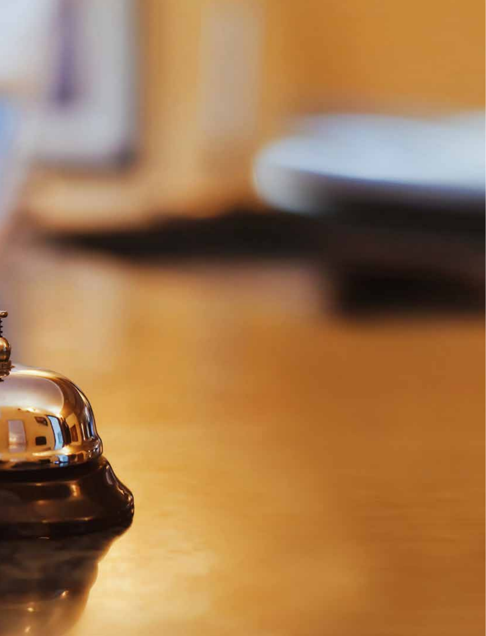